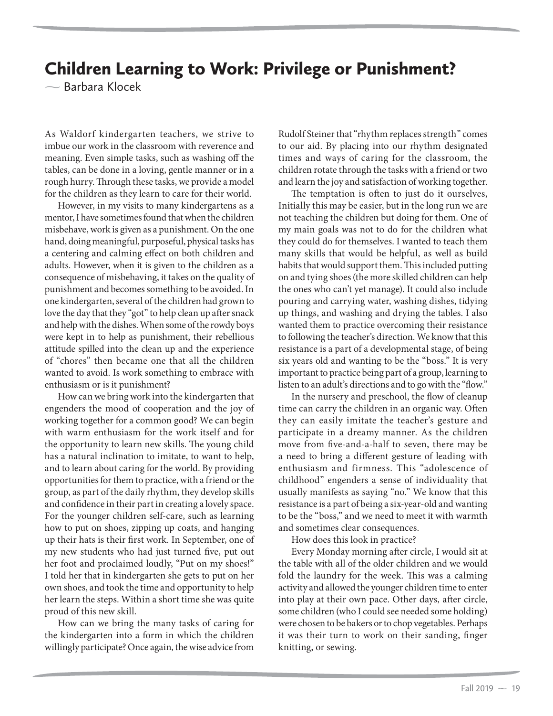## Children Learning to Work: Privilege or Punishment?

- Barbara Klocek

As Waldorf kindergarten teachers, we strive to imbue our work in the classroom with reverence and meaning. Even simple tasks, such as washing off the tables, can be done in a loving, gentle manner or in a rough hurry. Through these tasks, we provide a model for the children as they learn to care for their world.

However, in my visits to many kindergartens as a mentor, I have sometimes found that when the children misbehave, work is given as a punishment. On the one hand, doing meaningful, purposeful, physical tasks has a centering and calming effect on both children and adults. However, when it is given to the children as a consequence of misbehaving, it takes on the quality of punishment and becomes something to be avoided. In one kindergarten, several of the children had grown to love the day that they "got" to help clean up after snack and help with the dishes. When some of the rowdy boys were kept in to help as punishment, their rebellious attitude spilled into the clean up and the experience of "chores" then became one that all the children wanted to avoid. Is work something to embrace with enthusiasm or is it punishment?

How can we bring work into the kindergarten that engenders the mood of cooperation and the joy of working together for a common good? We can begin with warm enthusiasm for the work itself and for the opportunity to learn new skills. The young child has a natural inclination to imitate, to want to help, and to learn about caring for the world. By providing opportunities for them to practice, with a friend or the group, as part of the daily rhythm, they develop skills and confidence in their part in creating a lovely space. For the younger children self-care, such as learning how to put on shoes, zipping up coats, and hanging up their hats is their first work. In September, one of my new students who had just turned five, put out her foot and proclaimed loudly, "Put on my shoes!" I told her that in kindergarten she gets to put on her own shoes, and took the time and opportunity to help her learn the steps. Within a short time she was quite proud of this new skill.

How can we bring the many tasks of caring for the kindergarten into a form in which the children willingly participate? Once again, the wise advice from Rudolf Steiner that "rhythm replaces strength" comes to our aid. By placing into our rhythm designated times and ways of caring for the classroom, the children rotate through the tasks with a friend or two and learn the joy and satisfaction of working together.

The temptation is often to just do it ourselves, Initially this may be easier, but in the long run we are not teaching the children but doing for them. One of my main goals was not to do for the children what they could do for themselves. I wanted to teach them many skills that would be helpful, as well as build habits that would support them. This included putting on and tying shoes (the more skilled children can help the ones who can't yet manage). It could also include pouring and carrying water, washing dishes, tidying up things, and washing and drying the tables. I also wanted them to practice overcoming their resistance to following the teacher's direction. We know that this resistance is a part of a developmental stage, of being six years old and wanting to be the "boss." It is very important to practice being part of a group, learning to listen to an adult's directions and to go with the "flow."

In the nursery and preschool, the flow of cleanup time can carry the children in an organic way. Often they can easily imitate the teacher's gesture and participate in a dreamy manner. As the children move from five-and-a-half to seven, there may be a need to bring a different gesture of leading with enthusiasm and firmness. This "adolescence of childhood" engenders a sense of individuality that usually manifests as saying "no." We know that this resistance is a part of being a six-year-old and wanting to be the "boss," and we need to meet it with warmth and sometimes clear consequences.

How does this look in practice?

Every Monday morning after circle, I would sit at the table with all of the older children and we would fold the laundry for the week. This was a calming activity and allowed the younger children time to enter into play at their own pace. Other days, after circle, some children (who I could see needed some holding) were chosen to be bakers or to chop vegetables. Perhaps it was their turn to work on their sanding, finger knitting, or sewing.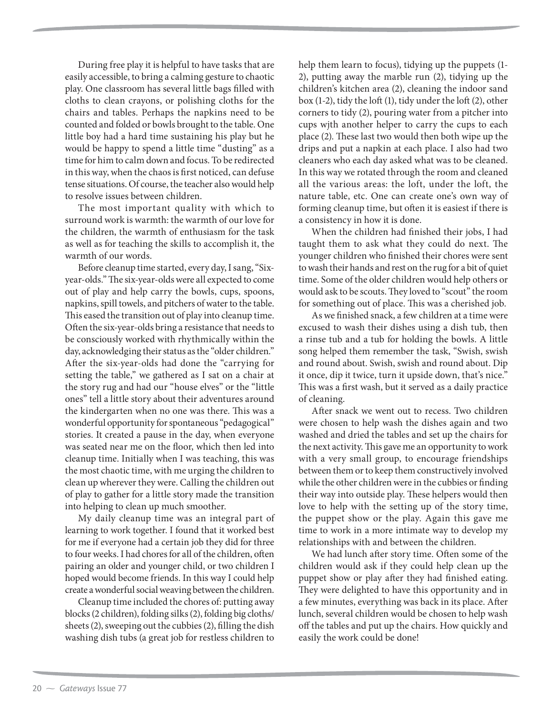During free play it is helpful to have tasks that are easily accessible, to bring a calming gesture to chaotic play. One classroom has several little bags filled with cloths to clean crayons, or polishing cloths for the chairs and tables. Perhaps the napkins need to be counted and folded or bowls brought to the table. One little boy had a hard time sustaining his play but he would be happy to spend a little time "dusting" as a time for him to calm down and focus. To be redirected in this way, when the chaos is first noticed, can defuse tense situations. Of course, the teacher also would help to resolve issues between children.

The most important quality with which to surround work is warmth: the warmth of our love for the children, the warmth of enthusiasm for the task as well as for teaching the skills to accomplish it, the warmth of our words.

Before cleanup time started, every day, I sang, "Sixyear-olds." The six-year-olds were all expected to come out of play and help carry the bowls, cups, spoons, napkins, spill towels, and pitchers of water to the table. This eased the transition out of play into cleanup time. Often the six-year-olds bring a resistance that needs to be consciously worked with rhythmically within the day, acknowledging their status as the "older children." After the six-year-olds had done the "carrying for setting the table," we gathered as I sat on a chair at the story rug and had our "house elves" or the "little ones" tell a little story about their adventures around the kindergarten when no one was there. This was a wonderful opportunity for spontaneous "pedagogical" stories. It created a pause in the day, when everyone was seated near me on the floor, which then led into cleanup time. Initially when I was teaching, this was the most chaotic time, with me urging the children to clean up wherever they were. Calling the children out of play to gather for a little story made the transition into helping to clean up much smoother.

My daily cleanup time was an integral part of learning to work together. I found that it worked best for me if everyone had a certain job they did for three to four weeks. I had chores for all of the children, often pairing an older and younger child, or two children I hoped would become friends. In this way I could help create a wonderful social weaving between the children.

Cleanup time included the chores of: putting away blocks (2 children), folding silks (2), folding big cloths/ sheets (2), sweeping out the cubbies (2), filling the dish washing dish tubs (a great job for restless children to

help them learn to focus), tidying up the puppets (1- 2), putting away the marble run (2), tidying up the children's kitchen area (2), cleaning the indoor sand box (1-2), tidy the loft (1), tidy under the loft (2), other corners to tidy (2), pouring water from a pitcher into cups wjth another helper to carry the cups to each place (2). These last two would then both wipe up the drips and put a napkin at each place. I also had two cleaners who each day asked what was to be cleaned. In this way we rotated through the room and cleaned all the various areas: the loft, under the loft, the nature table, etc. One can create one's own way of forming cleanup time, but often it is easiest if there is a consistency in how it is done.

When the children had finished their jobs, I had taught them to ask what they could do next. The younger children who finished their chores were sent to wash their hands and rest on the rug for a bit of quiet time. Some of the older children would help others or would ask to be scouts. They loved to "scout" the room for something out of place. This was a cherished job.

As we finished snack, a few children at a time were excused to wash their dishes using a dish tub, then a rinse tub and a tub for holding the bowls. A little song helped them remember the task, "Swish, swish and round about. Swish, swish and round about. Dip it once, dip it twice, turn it upside down, that's nice." This was a first wash, but it served as a daily practice of cleaning.

After snack we went out to recess. Two children were chosen to help wash the dishes again and two washed and dried the tables and set up the chairs for the next activity. This gave me an opportunity to work with a very small group, to encourage friendships between them or to keep them constructively involved while the other children were in the cubbies or finding their way into outside play. These helpers would then love to help with the setting up of the story time, the puppet show or the play. Again this gave me time to work in a more intimate way to develop my relationships with and between the children.

We had lunch after story time. Often some of the children would ask if they could help clean up the puppet show or play after they had finished eating. They were delighted to have this opportunity and in a few minutes, everything was back in its place. After lunch, several children would be chosen to help wash off the tables and put up the chairs. How quickly and easily the work could be done!